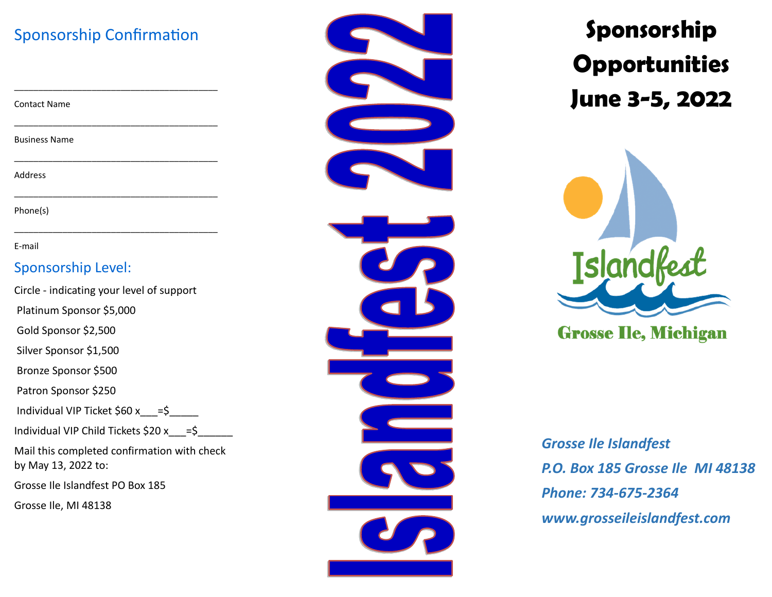### Sponsorship Confirmation

\_\_\_\_\_\_\_\_\_\_\_\_\_\_\_\_\_\_\_\_\_\_\_\_\_\_\_\_\_\_\_\_\_\_\_\_\_\_\_\_\_\_

\_\_\_\_\_\_\_\_\_\_\_\_\_\_\_\_\_\_\_\_\_\_\_\_\_\_\_\_\_\_\_\_\_\_\_\_\_\_\_\_\_\_

\_\_\_\_\_\_\_\_\_\_\_\_\_\_\_\_\_\_\_\_\_\_\_\_\_\_\_\_\_\_\_\_\_\_\_\_\_\_\_\_\_\_

\_\_\_\_\_\_\_\_\_\_\_\_\_\_\_\_\_\_\_\_\_\_\_\_\_\_\_\_\_\_\_\_\_\_\_\_\_\_\_\_\_\_

\_\_\_\_\_\_\_\_\_\_\_\_\_\_\_\_\_\_\_\_\_\_\_\_\_\_\_\_\_\_\_\_\_\_\_\_\_\_\_\_\_\_

Contact Name

Business Name

Address

Phone(s)

E-mail

#### Sponsorship Level:

Circle - indicating your level of support Platinum Sponsor \$5,000 Gold Sponsor \$2,500 Silver Sponsor \$1,500 Bronze Sponsor \$500 Patron Sponsor \$250 Individual VIP Ticket  $$60 \times = $$ Individual VIP Child Tickets \$20 x\_\_\_=\$\_\_\_ Mail this completed confirmation with check by May 13, 2022 to: Grosse Ile Islandfest PO Box 185 Grosse Ile, MI 48138



**Sponsorship Opportunities June 3-5, 2022**



**Grosse Ile, Michigan** 

*Grosse Ile Islandfest P.O. Box 185 Grosse Ile MI 48138 Phone: 734-675-2364 www.grosseileislandfest.com*